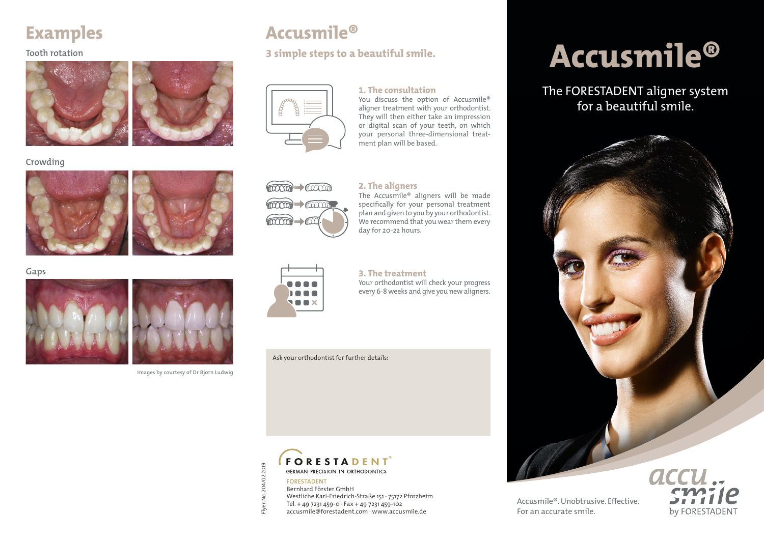## **Examples**

#### **Tooth rotation**



#### **Crowding**





#### **Gaps**





#### Images by courtesy of Dr Björn Ludwig

## **Accusmile®**

#### **3 simple steps to a beautiful smile.**



#### **1. The consultation**

You discuss the option of Accusmile® aligner treatment with your orthodontist. They will then either take an impression or digital scan of your teeth, on which your personal three-dimensional treatment plan will be based.



#### **2. The aligners**

The Accusmile® aligners will be made specifically for your personal treatment plan and given to you by your orthodontist. We recommend that you wear them every day for 20-22 hours.



#### **3. The treatment**

Your orthodontist will check your progress every 6-8 weeks and give you new aligners.

Ask your orthodontist for further details:



Flyer-No. 204/02.2019

-lyer

-No. 204/02.2019

Bernhard Förster GmbH Westliche Karl-Friedrich-Straße 151 · 75172 Pforzheim Tel. + 49 7231 459-0  $\cdot$  Fax + 49 7231 459-102

accusmile@forestadent.com · www.accusmile.de

# **Accusmile®**

### The FORESTADENT aligner system for a beautiful smile.



Accusmile®. Unobtrusive. Effective. For an accurate smile.